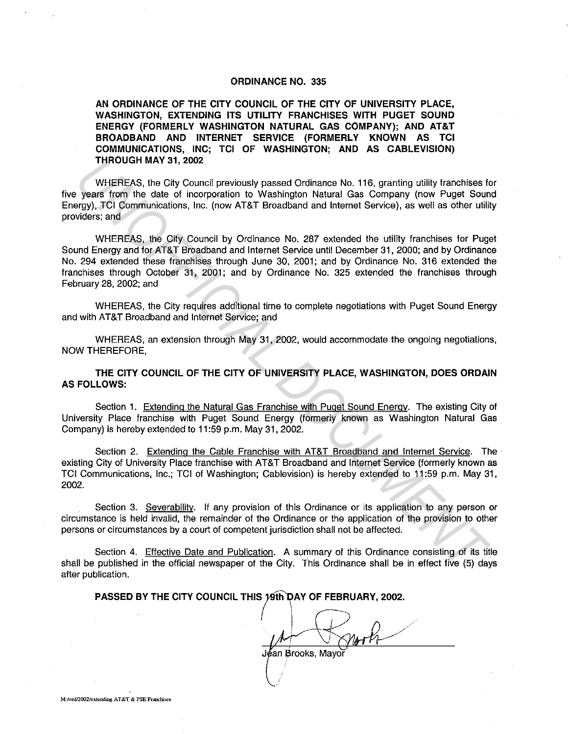## ORDINANCE NO. 335

AN ORDINANCE OF THE CITY COUNCIL OF THE CITY OF UNIVERSITY PLACE, WASHINGTON, EXTENDING ITS UTILITY FRANCHISES WITH PUGET SOUND ENERGY (FORMERLY WASHINGTON NATURAL GAS COMPANY); AND AT&T BROADBAND AND INTERNET SERVICE (FORMERLY KNOWN AS TCI COMMUNICATIONS, INC; TCI OF WASHINGTON; AND AS CABLEVISION) THROUGH MAY 31, 2002

WHEREAS, the City Council previously passed Ordinance No. 116, granting utility franchises for five years from the date of incorporation to Washington Natural Gas Company (now Puget Sound Energy), TCI Communications, Inc. (now AT&T Broadband and Internet Service), as well as other utility providers; and

WHEREAS, the City Council by Ordinance No. 287 extended the utility franchises for Puget Sound Energy and for AT&T Broadband and Internet Service until December 31, 2000; and by Ordinance No. 294 extended these franchises through June 30, 2001; and by Ordinance No. 316 extended the franchises through October 31, 2001; and by Ordinance No. 325 extended the franchises through February 28, 2002; and **UNICURENTS, the City Council previously passed Ordinance No. 116, granting utility franchises to years from the date of incorporation to Washington Natural Gas Company (now Puget Souncil previously passed Ordinance No. 11** 

WHEREAS, the City requires additional time to complete negotiations with Puget Sound Energy and with AT&T Broadband and Internet Service; and

WHEREAS, an extension through May 31, 2002, would accommodate the ongoing negotiations, NOW THEREFORE,

THE CITY COUNCIL OF THE CITY OF UNIVERSITY PLACE, WASHINGTON, DOES ORDAIN AS FOLLOWS:

Section 1. Extending the Natural Gas Franchise with Puget Sound Energy. The existing City of University Place franchise with Puget Sound Energy (formerly known as Washington Natural Gas Company) is hereby extended to 11 :59 p.m. May 31, 2002.

Section 2. Extending the Cable Franchise with AT&T Broadband and Internet Service. The existing City of University Place franchise with AT&T Broadband and Internet Service (formerly known as TC! Communications, Inc.; TC! of Washington; Cablevision) is hereby extended to 11 :59 p.m. May 31, 2002.

Section 3. Severability. If any provision of this Ordinance or its application to any person or circumstance is held invalid, the remainder of the Ordinance or the application of the provision to other persons or circumstances by a court of competent jurisdiction shall not be affected.

Section 4. Effective Date and Publication. A summary of this Ordinance consisting of its title shall be published in the official newspaper of the City. This Ordinance shall be in effect five (5) days after publication.

PASSED BY THE CITY COUNCIL THIS 19th DAY OF FEBRUARY, 2002.

Jéan Brooks, Mayo